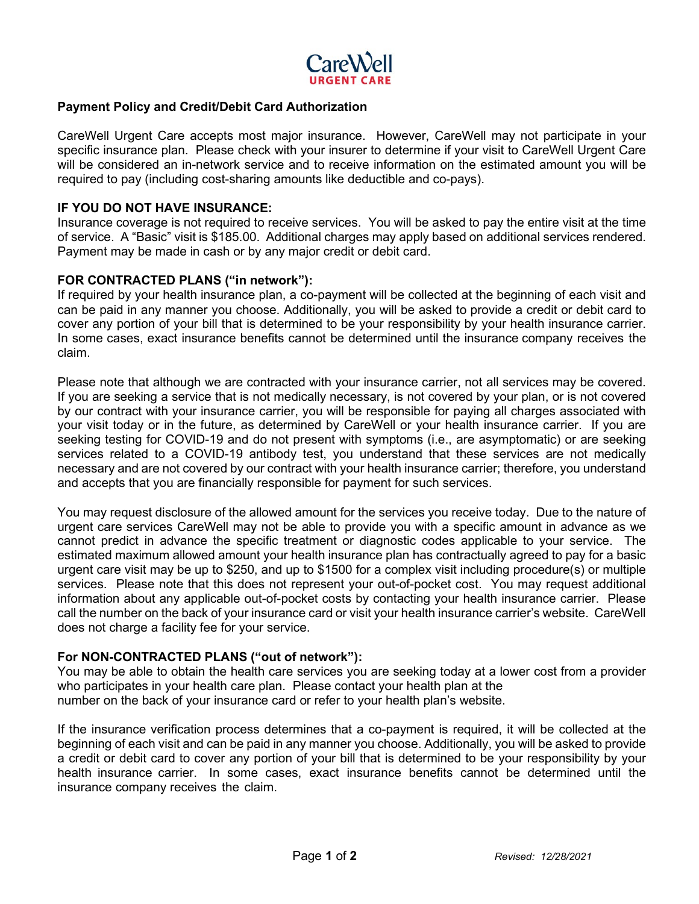

## **Payment Policy and Credit/Debit Card Authorization**

CareWell Urgent Care accepts most major insurance. However, CareWell may not participate in your specific insurance plan. Please check with your insurer to determine if your visit to CareWell Urgent Care will be considered an in-network service and to receive information on the estimated amount you will be required to pay (including cost-sharing amounts like deductible and co-pays).

#### **IF YOU DO NOT HAVE INSURANCE:**

Insurance coverage is not required to receive services. You will be asked to pay the entire visit at the time of service. A "Basic" visit is \$185.00. Additional charges may apply based on additional services rendered. Payment may be made in cash or by any major credit or debit card.

#### **FOR CONTRACTED PLANS ("in network"):**

If required by your health insurance plan, a co-payment will be collected at the beginning of each visit and can be paid in any manner you choose. Additionally, you will be asked to provide a credit or debit card to cover any portion of your bill that is determined to be your responsibility by your health insurance carrier. In some cases, exact insurance benefits cannot be determined until the insurance company receives the claim.

Please note that although we are contracted with your insurance carrier, not all services may be covered. If you are seeking a service that is not medically necessary, is not covered by your plan, or is not covered by our contract with your insurance carrier, you will be responsible for paying all charges associated with your visit today or in the future, as determined by CareWell or your health insurance carrier. If you are seeking testing for COVID-19 and do not present with symptoms (i.e., are asymptomatic) or are seeking services related to a COVID-19 antibody test, you understand that these services are not medically necessary and are not covered by our contract with your health insurance carrier; therefore, you understand and accepts that you are financially responsible for payment for such services.

You may request disclosure of the allowed amount for the services you receive today. Due to the nature of urgent care services CareWell may not be able to provide you with a specific amount in advance as we cannot predict in advance the specific treatment or diagnostic codes applicable to your service. The estimated maximum allowed amount your health insurance plan has contractually agreed to pay for a basic urgent care visit may be up to \$250, and up to \$1500 for a complex visit including procedure(s) or multiple services. Please note that this does not represent your out-of-pocket cost. You may request additional information about any applicable out-of-pocket costs by contacting your health insurance carrier. Please call the number on the back of your insurance card or visit your health insurance carrier's website. CareWell does not charge a facility fee for your service.

# **For NON-CONTRACTED PLANS ("out of network"):**

You may be able to obtain the health care services you are seeking today at a lower cost from a provider who participates in your health care plan. Please contact your health plan at the number on the back of your insurance card or refer to your health plan's website.

If the insurance verification process determines that a co-payment is required, it will be collected at the beginning of each visit and can be paid in any manner you choose. Additionally, you will be asked to provide a credit or debit card to cover any portion of your bill that is determined to be your responsibility by your health insurance carrier. In some cases, exact insurance benefits cannot be determined until the insurance company receives the claim.